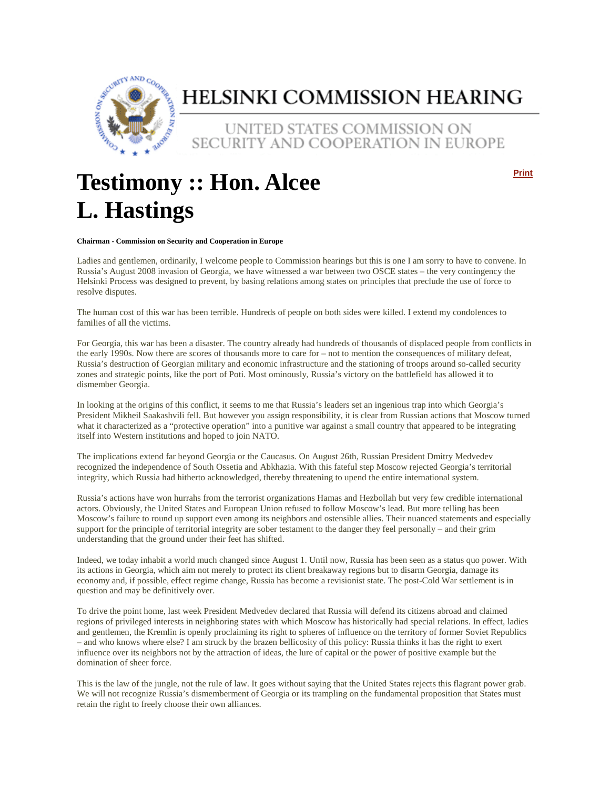

## HELSINKI COMMISSION HEARING

UNITED STATES COMMISSION ON SECURITY AND COOPERATION IN EUROPE

## **Testimony :: Hon. Alcee L. Hastings**

**Print**

## **Chairman - Commission on Security and Cooperation in Europe**

Ladies and gentlemen, ordinarily, I welcome people to Commission hearings but this is one I am sorry to have to convene. In Russia's August 2008 invasion of Georgia, we have witnessed a war between two OSCE states – the very contingency the Helsinki Process was designed to prevent, by basing relations among states on principles that preclude the use of force to resolve disputes.

The human cost of this war has been terrible. Hundreds of people on both sides were killed. I extend my condolences to families of all the victims.

For Georgia, this war has been a disaster. The country already had hundreds of thousands of displaced people from conflicts in the early 1990s. Now there are scores of thousands more to care for – not to mention the consequences of military defeat, Russia's destruction of Georgian military and economic infrastructure and the stationing of troops around so-called security zones and strategic points, like the port of Poti. Most ominously, Russia's victory on the battlefield has allowed it to dismember Georgia.

In looking at the origins of this conflict, it seems to me that Russia's leaders set an ingenious trap into which Georgia's President Mikheil Saakashvili fell. But however you assign responsibility, it is clear from Russian actions that Moscow turned what it characterized as a "protective operation" into a punitive war against a small country that appeared to be integrating itself into Western institutions and hoped to join NATO.

The implications extend far beyond Georgia or the Caucasus. On August 26th, Russian President Dmitry Medvedev recognized the independence of South Ossetia and Abkhazia. With this fateful step Moscow rejected Georgia's territorial integrity, which Russia had hitherto acknowledged, thereby threatening to upend the entire international system.

Russia's actions have won hurrahs from the terrorist organizations Hamas and Hezbollah but very few credible international actors. Obviously, the United States and European Union refused to follow Moscow's lead. But more telling has been Moscow's failure to round up support even among its neighbors and ostensible allies. Their nuanced statements and especially support for the principle of territorial integrity are sober testament to the danger they feel personally – and their grim understanding that the ground under their feet has shifted.

Indeed, we today inhabit a world much changed since August 1. Until now, Russia has been seen as a status quo power. With its actions in Georgia, which aim not merely to protect its client breakaway regions but to disarm Georgia, damage its economy and, if possible, effect regime change, Russia has become a revisionist state. The post-Cold War settlement is in question and may be definitively over.

To drive the point home, last week President Medvedev declared that Russia will defend its citizens abroad and claimed regions of privileged interests in neighboring states with which Moscow has historically had special relations. In effect, ladies and gentlemen, the Kremlin is openly proclaiming its right to spheres of influence on the territory of former Soviet Republics – and who knows where else? I am struck by the brazen bellicosity of this policy: Russia thinks it has the right to exert influence over its neighbors not by the attraction of ideas, the lure of capital or the power of positive example but the domination of sheer force.

This is the law of the jungle, not the rule of law. It goes without saying that the United States rejects this flagrant power grab. We will not recognize Russia's dismemberment of Georgia or its trampling on the fundamental proposition that States must retain the right to freely choose their own alliances.